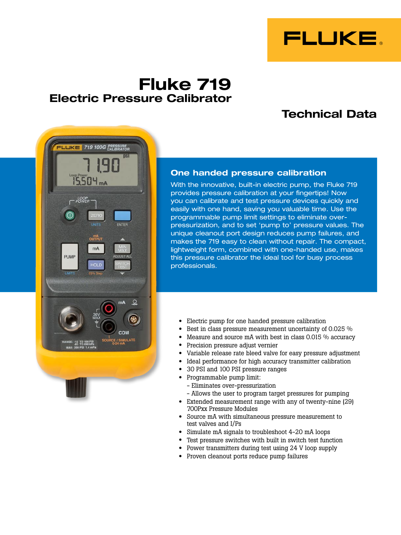

# **Fluke 719 Electric Pressure Calibrator**

# **Technical Data**



#### **One handed pressure calibration**

With the innovative, built-in electric pump, the Fluke 719 provides pressure calibration at your fingertips! Now you can calibrate and test pressure devices quickly and easily with one hand, saving you valuable time. Use the programmable pump limit settings to eliminate overpressurization, and to set 'pump to' pressure values. The unique cleanout port design reduces pump failures, and makes the 719 easy to clean without repair. The compact, lightweight form, combined with one-handed use, makes this pressure calibrator the ideal tool for busy process professionals.

- Electric pump for one handed pressure calibration
- Best in class pressure measurement uncertainty of 0.025 %
- Measure and source  $mA$  with best in class 0.015 % accuracy
- Precision pressure adjust vernier
- Variable release rate bleed valve for easy pressure adjustment
- Ideal performance for high accuracy transmitter calibration
- • 30 PSI and <sup>100</sup> PSI pressure ranges
- • Programmable pump limit:
	- Eliminates over-pressurization
	- Allows the user to program target pressures for pumping
- Extended measurement range with any of twenty-nine (29) 700Pxx Pressure Modules
- • Source mA with simultaneous pressure measurement to test valves and I/Ps
- Simulate mA signals to troubleshoot 4-20 mA loops
- • Test pressure switches with built in switch test function
- Power transmitters during test using 24 V loop supply
- • Proven cleanout ports reduce pump failures